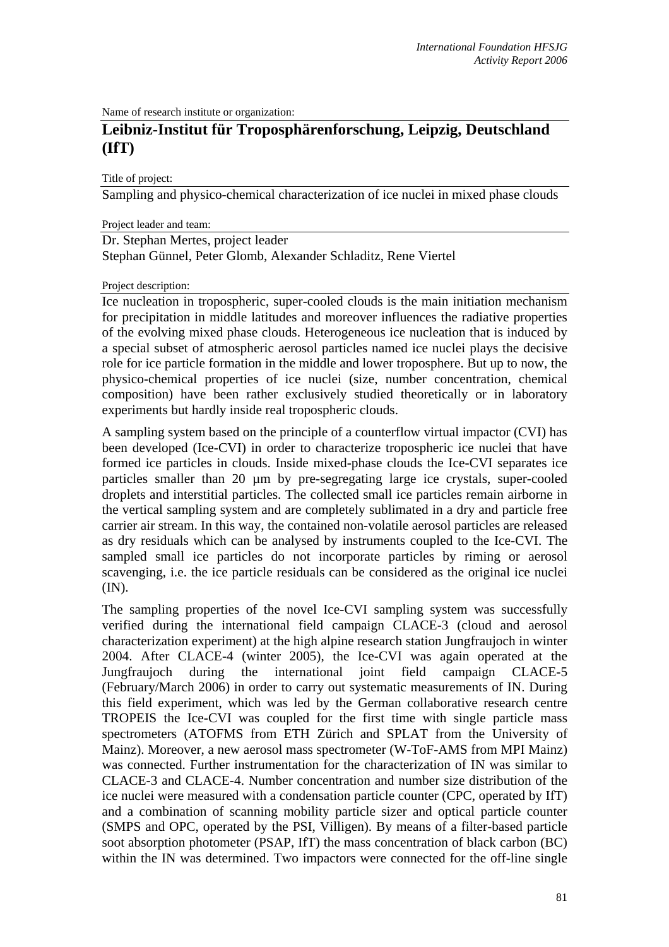Name of research institute or organization:

# **Leibniz-Institut für Troposphärenforschung, Leipzig, Deutschland (IfT)**

Title of project:

Sampling and physico-chemical characterization of ice nuclei in mixed phase clouds

Project leader and team:

Dr. Stephan Mertes, project leader Stephan Günnel, Peter Glomb, Alexander Schladitz, Rene Viertel

### Project description:

Ice nucleation in tropospheric, super-cooled clouds is the main initiation mechanism for precipitation in middle latitudes and moreover influences the radiative properties of the evolving mixed phase clouds. Heterogeneous ice nucleation that is induced by a special subset of atmospheric aerosol particles named ice nuclei plays the decisive role for ice particle formation in the middle and lower troposphere. But up to now, the physico-chemical properties of ice nuclei (size, number concentration, chemical composition) have been rather exclusively studied theoretically or in laboratory experiments but hardly inside real tropospheric clouds.

A sampling system based on the principle of a counterflow virtual impactor (CVI) has been developed (Ice-CVI) in order to characterize tropospheric ice nuclei that have formed ice particles in clouds. Inside mixed-phase clouds the Ice-CVI separates ice particles smaller than 20 µm by pre-segregating large ice crystals, super-cooled droplets and interstitial particles. The collected small ice particles remain airborne in the vertical sampling system and are completely sublimated in a dry and particle free carrier air stream. In this way, the contained non-volatile aerosol particles are released as dry residuals which can be analysed by instruments coupled to the Ice-CVI. The sampled small ice particles do not incorporate particles by riming or aerosol scavenging, i.e. the ice particle residuals can be considered as the original ice nuclei (IN).

The sampling properties of the novel Ice-CVI sampling system was successfully verified during the international field campaign CLACE-3 (cloud and aerosol characterization experiment) at the high alpine research station Jungfraujoch in winter 2004. After CLACE-4 (winter 2005), the Ice-CVI was again operated at the Jungfraujoch during the international joint field campaign CLACE-5 (February/March 2006) in order to carry out systematic measurements of IN. During this field experiment, which was led by the German collaborative research centre TROPEIS the Ice-CVI was coupled for the first time with single particle mass spectrometers (ATOFMS from ETH Zürich and SPLAT from the University of Mainz). Moreover, a new aerosol mass spectrometer (W-ToF-AMS from MPI Mainz) was connected. Further instrumentation for the characterization of IN was similar to CLACE-3 and CLACE-4. Number concentration and number size distribution of the ice nuclei were measured with a condensation particle counter (CPC, operated by IfT) and a combination of scanning mobility particle sizer and optical particle counter (SMPS and OPC, operated by the PSI, Villigen). By means of a filter-based particle soot absorption photometer (PSAP, IfT) the mass concentration of black carbon (BC) within the IN was determined. Two impactors were connected for the off-line single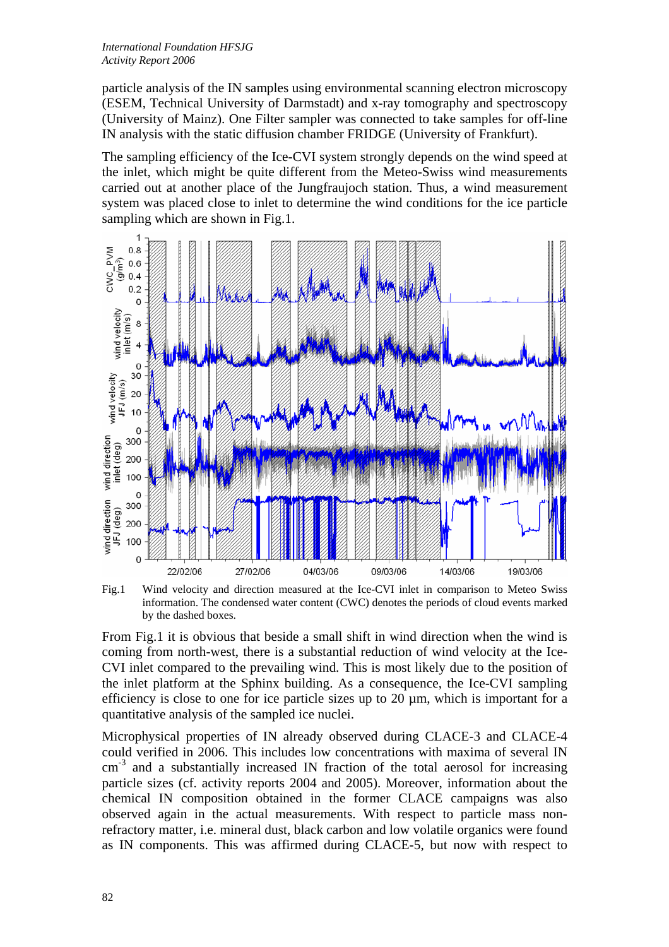particle analysis of the IN samples using environmental scanning electron microscopy (ESEM, Technical University of Darmstadt) and x-ray tomography and spectroscopy (University of Mainz). One Filter sampler was connected to take samples for off-line IN analysis with the static diffusion chamber FRIDGE (University of Frankfurt).

The sampling efficiency of the Ice-CVI system strongly depends on the wind speed at the inlet, which might be quite different from the Meteo-Swiss wind measurements carried out at another place of the Jungfraujoch station. Thus, a wind measurement system was placed close to inlet to determine the wind conditions for the ice particle sampling which are shown in Fig.1.



Fig.1 Wind velocity and direction measured at the Ice-CVI inlet in comparison to Meteo Swiss information. The condensed water content (CWC) denotes the periods of cloud events marked by the dashed boxes.

From Fig.1 it is obvious that beside a small shift in wind direction when the wind is coming from north-west, there is a substantial reduction of wind velocity at the Ice-CVI inlet compared to the prevailing wind. This is most likely due to the position of the inlet platform at the Sphinx building. As a consequence, the Ice-CVI sampling efficiency is close to one for ice particle sizes up to 20  $\mu$ m, which is important for a quantitative analysis of the sampled ice nuclei.

Microphysical properties of IN already observed during CLACE-3 and CLACE-4 could verified in 2006. This includes low concentrations with maxima of several IN cm<sup>-3</sup> and a substantially increased IN fraction of the total aerosol for increasing particle sizes (cf. activity reports 2004 and 2005). Moreover, information about the chemical IN composition obtained in the former CLACE campaigns was also observed again in the actual measurements. With respect to particle mass nonrefractory matter, i.e. mineral dust, black carbon and low volatile organics were found as IN components. This was affirmed during CLACE-5, but now with respect to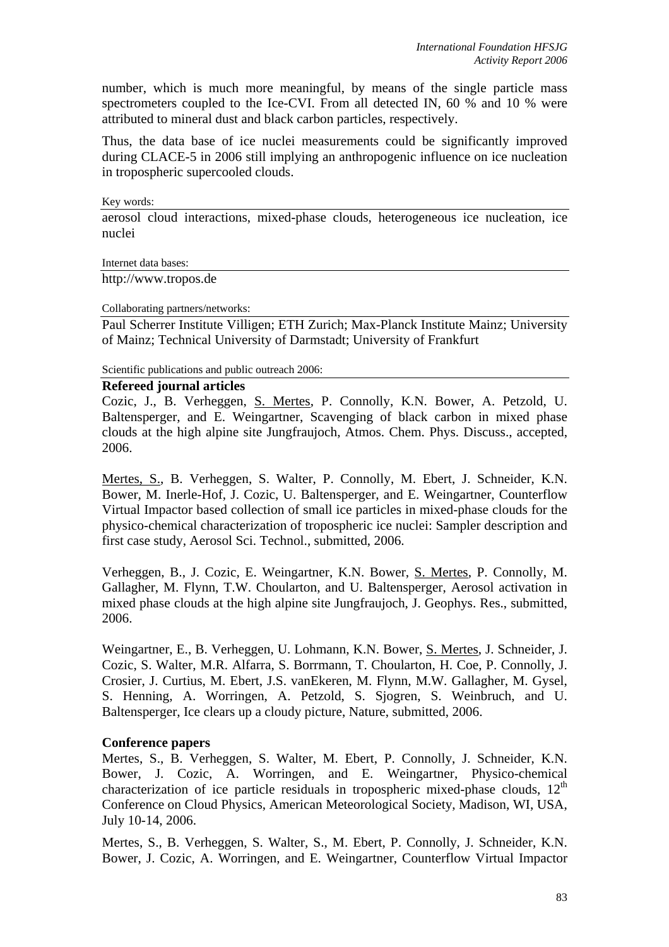number, which is much more meaningful, by means of the single particle mass spectrometers coupled to the Ice-CVI. From all detected IN, 60 % and 10 % were attributed to mineral dust and black carbon particles, respectively.

Thus, the data base of ice nuclei measurements could be significantly improved during CLACE-5 in 2006 still implying an anthropogenic influence on ice nucleation in tropospheric supercooled clouds.

Key words:

aerosol cloud interactions, mixed-phase clouds, heterogeneous ice nucleation, ice nuclei

Internet data bases:

http://www.tropos.de

Collaborating partners/networks:

Paul Scherrer Institute Villigen; ETH Zurich; Max-Planck Institute Mainz; University of Mainz; Technical University of Darmstadt; University of Frankfurt

Scientific publications and public outreach 2006:

### **Refereed journal articles**

Cozic, J., B. Verheggen, S. Mertes, P. Connolly, K.N. Bower, A. Petzold, U. Baltensperger, and E. Weingartner, Scavenging of black carbon in mixed phase clouds at the high alpine site Jungfraujoch, Atmos. Chem. Phys. Discuss., accepted, 2006.

Mertes, S., B. Verheggen, S. Walter, P. Connolly, M. Ebert, J. Schneider, K.N. Bower, M. Inerle-Hof, J. Cozic, U. Baltensperger, and E. Weingartner, Counterflow Virtual Impactor based collection of small ice particles in mixed-phase clouds for the physico-chemical characterization of tropospheric ice nuclei: Sampler description and first case study, Aerosol Sci. Technol., submitted, 2006.

Verheggen, B., J. Cozic, E. Weingartner, K.N. Bower, S. Mertes, P. Connolly, M. Gallagher, M. Flynn, T.W. Choularton, and U. Baltensperger, Aerosol activation in mixed phase clouds at the high alpine site Jungfraujoch, J. Geophys. Res., submitted, 2006.

Weingartner, E., B. Verheggen, U. Lohmann, K.N. Bower, S. Mertes, J. Schneider, J. Cozic, S. Walter, M.R. Alfarra, S. Borrmann, T. Choularton, H. Coe, P. Connolly, J. Crosier, J. Curtius, M. Ebert, J.S. vanEkeren, M. Flynn, M.W. Gallagher, M. Gysel, S. Henning, A. Worringen, A. Petzold, S. Sjogren, S. Weinbruch, and U. Baltensperger, Ice clears up a cloudy picture, Nature, submitted, 2006.

### **Conference papers**

Mertes, S., B. Verheggen, S. Walter, M. Ebert, P. Connolly, J. Schneider, K.N. Bower, J. Cozic, A. Worringen, and E. Weingartner, Physico-chemical characterization of ice particle residuals in tropospheric mixed-phase clouds,  $12<sup>th</sup>$ Conference on Cloud Physics, American Meteorological Society, Madison, WI, USA, July 10-14, 2006.

Mertes, S., B. Verheggen, S. Walter, S., M. Ebert, P. Connolly, J. Schneider, K.N. Bower, J. Cozic, A. Worringen, and E. Weingartner, Counterflow Virtual Impactor